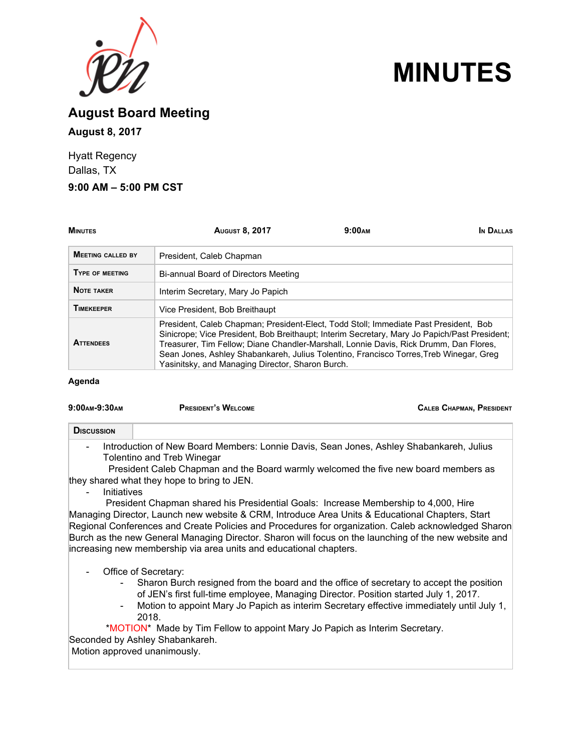

# **MINUTES**

**August Board Meeting August 8, 2017**

Hyatt Regency Dallas, TX

### **9:00 AM – 5:00 PM CST**

| <b>MINUTES</b>           | <b>AUGUST 8, 2017</b>                                                                                                                                                                                                                                                                                                                                                                                                       | 9:00 <sub>AM</sub> | IN DALLAS |
|--------------------------|-----------------------------------------------------------------------------------------------------------------------------------------------------------------------------------------------------------------------------------------------------------------------------------------------------------------------------------------------------------------------------------------------------------------------------|--------------------|-----------|
| <b>MEETING CALLED BY</b> | President, Caleb Chapman                                                                                                                                                                                                                                                                                                                                                                                                    |                    |           |
| TYPE OF MEETING          | Bi-annual Board of Directors Meeting                                                                                                                                                                                                                                                                                                                                                                                        |                    |           |
| <b>NOTE TAKER</b>        | Interim Secretary, Mary Jo Papich                                                                                                                                                                                                                                                                                                                                                                                           |                    |           |
| <b>TIMEKEEPER</b>        | Vice President, Bob Breithaupt                                                                                                                                                                                                                                                                                                                                                                                              |                    |           |
| <b>ATTENDEES</b>         | President, Caleb Chapman; President-Elect, Todd Stoll; Immediate Past President, Bob<br>Sinicrope; Vice President, Bob Breithaupt; Interim Secretary, Mary Jo Papich/Past President;<br>Treasurer, Tim Fellow; Diane Chandler-Marshall, Lonnie Davis, Rick Drumm, Dan Flores,<br>Sean Jones, Ashley Shabankareh, Julius Tolentino, Francisco Torres, Treb Winegar, Greg<br>Yasinitsky, and Managing Director, Sharon Burch. |                    |           |

**Agenda**

| 9:00 AM-9:30 AM | <b>PRESIDENT'S WELCOME</b> | <b>CALEB CHAPMAN, PRESIDENT</b> |  |
|-----------------|----------------------------|---------------------------------|--|
|                 |                            |                                 |  |

#### **DISCUSSION**

- Introduction of New Board Members: Lonnie Davis, Sean Jones, Ashley Shabankareh, Julius Tolentino and Treb Winegar

President Caleb Chapman and the Board warmly welcomed the five new board members as they shared what they hope to bring to JEN.

**Initiatives** 

President Chapman shared his Presidential Goals: Increase Membership to 4,000, Hire Managing Director, Launch new website & CRM, Introduce Area Units & Educational Chapters, Start Regional Conferences and Create Policies and Procedures for organization. Caleb acknowledged Sharon Burch as the new General Managing Director. Sharon will focus on the launching of the new website and increasing new membership via area units and educational chapters.

- Office of Secretary:
	- Sharon Burch resigned from the board and the office of secretary to accept the position of JEN's first full-time employee, Managing Director. Position started July 1, 2017.
	- Motion to appoint Mary Jo Papich as interim Secretary effective immediately until July 1, 2018.

\*MOTION\* Made by Tim Fellow to appoint Mary Jo Papich as Interim Secretary. Seconded by Ashley Shabankareh.

Motion approved unanimously.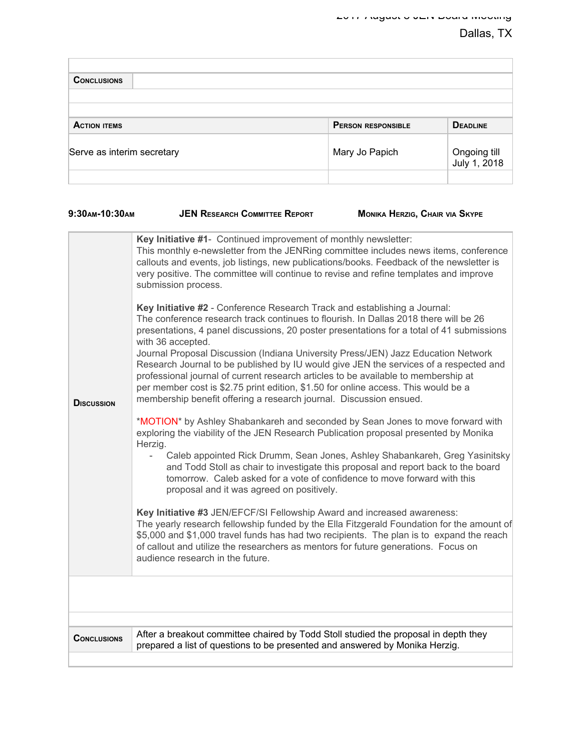| <b>CONCLUSIONS</b>         |                           |                              |
|----------------------------|---------------------------|------------------------------|
|                            |                           |                              |
|                            |                           |                              |
| <b>ACTION ITEMS</b>        | <b>PERSON RESPONSIBLE</b> | <b>DEADLINE</b>              |
| Serve as interim secretary | Mary Jo Papich            | Ongoing till<br>July 1, 2018 |
|                            |                           |                              |

| 9:30AM-10:30AM<br><b>DISCUSSION</b> | <b>JEN RESEARCH COMMITTEE REPORT</b><br>Key Initiative #1- Continued improvement of monthly newsletter:<br>This monthly e-newsletter from the JENRing committee includes news items, conference<br>callouts and events, job listings, new publications/books. Feedback of the newsletter is<br>very positive. The committee will continue to revise and refine templates and improve<br>submission process.<br>Key Initiative #2 - Conference Research Track and establishing a Journal:<br>The conference research track continues to flourish. In Dallas 2018 there will be 26<br>presentations, 4 panel discussions, 20 poster presentations for a total of 41 submissions<br>with 36 accepted.<br>Journal Proposal Discussion (Indiana University Press/JEN) Jazz Education Network<br>Research Journal to be published by IU would give JEN the services of a respected and<br>professional journal of current research articles to be available to membership at<br>per member cost is \$2.75 print edition, \$1.50 for online access. This would be a<br>membership benefit offering a research journal. Discussion ensued.<br>*MOTION* by Ashley Shabankareh and seconded by Sean Jones to move forward with<br>exploring the viability of the JEN Research Publication proposal presented by Monika | MONIKA HERZIG, CHAIR VIA SKYPE                                              |
|-------------------------------------|--------------------------------------------------------------------------------------------------------------------------------------------------------------------------------------------------------------------------------------------------------------------------------------------------------------------------------------------------------------------------------------------------------------------------------------------------------------------------------------------------------------------------------------------------------------------------------------------------------------------------------------------------------------------------------------------------------------------------------------------------------------------------------------------------------------------------------------------------------------------------------------------------------------------------------------------------------------------------------------------------------------------------------------------------------------------------------------------------------------------------------------------------------------------------------------------------------------------------------------------------------------------------------------------------------------|-----------------------------------------------------------------------------|
|                                     | Herzig.<br>$\blacksquare$<br>and Todd Stoll as chair to investigate this proposal and report back to the board<br>tomorrow. Caleb asked for a vote of confidence to move forward with this<br>proposal and it was agreed on positively.                                                                                                                                                                                                                                                                                                                                                                                                                                                                                                                                                                                                                                                                                                                                                                                                                                                                                                                                                                                                                                                                      | Caleb appointed Rick Drumm, Sean Jones, Ashley Shabankareh, Greg Yasinitsky |
|                                     | Key Initiative #3 JEN/EFCF/SI Fellowship Award and increased awareness:<br>The yearly research fellowship funded by the Ella Fitzgerald Foundation for the amount of<br>\$5,000 and \$1,000 travel funds has had two recipients. The plan is to expand the reach<br>of callout and utilize the researchers as mentors for future generations. Focus on<br>audience research in the future.                                                                                                                                                                                                                                                                                                                                                                                                                                                                                                                                                                                                                                                                                                                                                                                                                                                                                                                   |                                                                             |
|                                     |                                                                                                                                                                                                                                                                                                                                                                                                                                                                                                                                                                                                                                                                                                                                                                                                                                                                                                                                                                                                                                                                                                                                                                                                                                                                                                              |                                                                             |
|                                     |                                                                                                                                                                                                                                                                                                                                                                                                                                                                                                                                                                                                                                                                                                                                                                                                                                                                                                                                                                                                                                                                                                                                                                                                                                                                                                              |                                                                             |
| <b>CONCLUSIONS</b>                  | After a breakout committee chaired by Todd Stoll studied the proposal in depth they<br>prepared a list of questions to be presented and answered by Monika Herzig.                                                                                                                                                                                                                                                                                                                                                                                                                                                                                                                                                                                                                                                                                                                                                                                                                                                                                                                                                                                                                                                                                                                                           |                                                                             |
|                                     |                                                                                                                                                                                                                                                                                                                                                                                                                                                                                                                                                                                                                                                                                                                                                                                                                                                                                                                                                                                                                                                                                                                                                                                                                                                                                                              |                                                                             |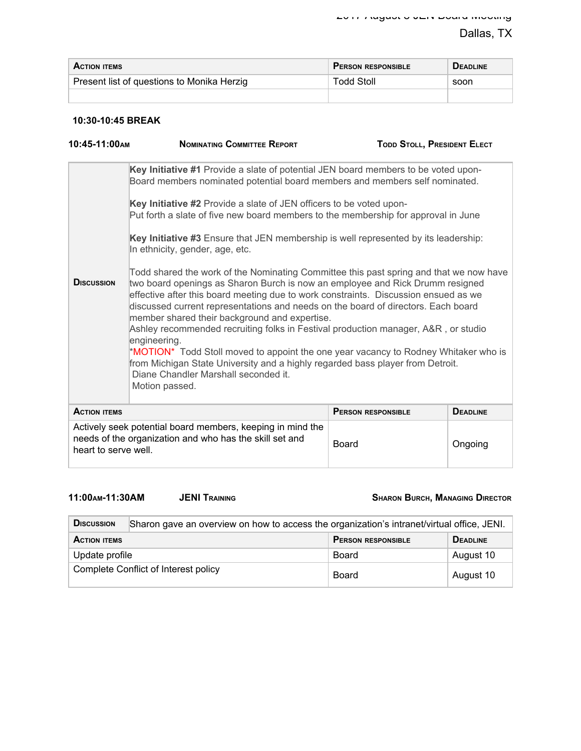| <b>ACTION ITEMS</b>                        | <b>PERSON RESPONSIBLE</b> | <b>DEADLINE</b> |
|--------------------------------------------|---------------------------|-----------------|
| Present list of questions to Monika Herzig | Todd Stoll                | soon            |
|                                            |                           |                 |

### **10:30-10:45 BREAK**

| $10:45-11:00$ AM                                                                                                                                          | <b>NOMINATING COMMITTEE REPORT</b>                                                                                                                                                                                                                                                                                                                                                                                                                                                                                                                                                                                                                                                                                                            | <b>TODD STOLL, PRESIDENT ELECT</b> |                 |
|-----------------------------------------------------------------------------------------------------------------------------------------------------------|-----------------------------------------------------------------------------------------------------------------------------------------------------------------------------------------------------------------------------------------------------------------------------------------------------------------------------------------------------------------------------------------------------------------------------------------------------------------------------------------------------------------------------------------------------------------------------------------------------------------------------------------------------------------------------------------------------------------------------------------------|------------------------------------|-----------------|
|                                                                                                                                                           | Key Initiative #1 Provide a slate of potential JEN board members to be voted upon-<br>Board members nominated potential board members and members self nominated.                                                                                                                                                                                                                                                                                                                                                                                                                                                                                                                                                                             |                                    |                 |
| Key Initiative #2 Provide a slate of JEN officers to be voted upon-<br>Put forth a slate of five new board members to the membership for approval in June |                                                                                                                                                                                                                                                                                                                                                                                                                                                                                                                                                                                                                                                                                                                                               |                                    |                 |
|                                                                                                                                                           | Key Initiative #3 Ensure that JEN membership is well represented by its leadership:<br>In ethnicity, gender, age, etc.                                                                                                                                                                                                                                                                                                                                                                                                                                                                                                                                                                                                                        |                                    |                 |
| <b>DISCUSSION</b>                                                                                                                                         | Todd shared the work of the Nominating Committee this past spring and that we now have<br>two board openings as Sharon Burch is now an employee and Rick Drumm resigned<br>effective after this board meeting due to work constraints. Discussion ensued as we<br>discussed current representations and needs on the board of directors. Each board<br>member shared their background and expertise.<br>Ashley recommended recruiting folks in Festival production manager, A&R, or studio<br>engineering.<br>*MOTION* Todd Stoll moved to appoint the one year vacancy to Rodney Whitaker who is<br>from Michigan State University and a highly regarded bass player from Detroit.<br>Diane Chandler Marshall seconded it.<br>Motion passed. |                                    |                 |
| <b>ACTION ITEMS</b>                                                                                                                                       |                                                                                                                                                                                                                                                                                                                                                                                                                                                                                                                                                                                                                                                                                                                                               | <b>PERSON RESPONSIBLE</b>          | <b>DEADLINE</b> |
| heart to serve well.                                                                                                                                      | Actively seek potential board members, keeping in mind the<br>needs of the organization and who has the skill set and                                                                                                                                                                                                                                                                                                                                                                                                                                                                                                                                                                                                                         | <b>Board</b>                       | Ongoing         |

**11:00AM-11:30AM JENI TRAINING SHARON BURCH, MANAGING DIRECTOR**

| <b>DISCUSSION</b>                                                   | Sharon gave an overview on how to access the organization's intranet/virtual office, JENI. |           |  |
|---------------------------------------------------------------------|--------------------------------------------------------------------------------------------|-----------|--|
| <b>PERSON RESPONSIBLE</b><br><b>DEADLINE</b><br><b>ACTION ITEMS</b> |                                                                                            |           |  |
| Update profile                                                      | Board                                                                                      | August 10 |  |
| Complete Conflict of Interest policy                                | Board                                                                                      | August 10 |  |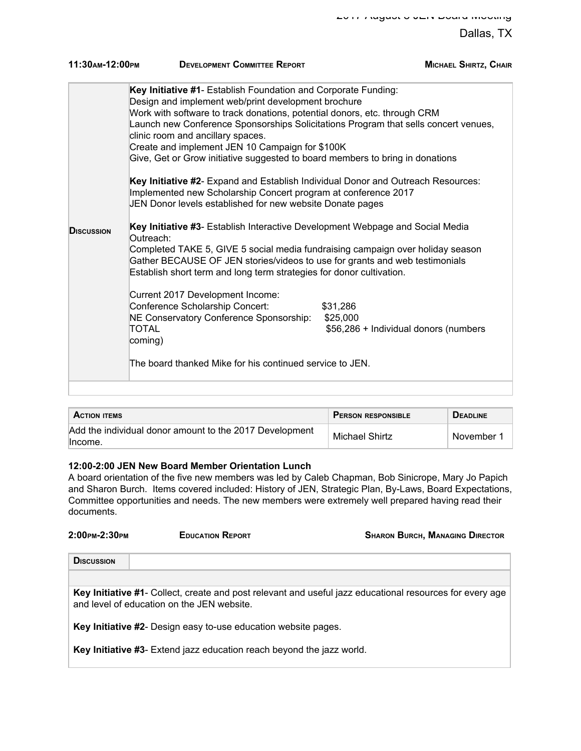| 11:30AM-12:00PM   | <b>DEVELOPMENT COMMITTEE REPORT</b>                                                                                                                                                                                                                                                                                                                                                                                                                                                                                                                                                                                                                                                                                                                                                                                                                                                                                                                                                                                                                                                                                                                                                                                                                    | <b>MICHAEL SHIRTZ, CHAIR</b>          |
|-------------------|--------------------------------------------------------------------------------------------------------------------------------------------------------------------------------------------------------------------------------------------------------------------------------------------------------------------------------------------------------------------------------------------------------------------------------------------------------------------------------------------------------------------------------------------------------------------------------------------------------------------------------------------------------------------------------------------------------------------------------------------------------------------------------------------------------------------------------------------------------------------------------------------------------------------------------------------------------------------------------------------------------------------------------------------------------------------------------------------------------------------------------------------------------------------------------------------------------------------------------------------------------|---------------------------------------|
| <b>DISCUSSION</b> | Key Initiative #1- Establish Foundation and Corporate Funding:<br>Design and implement web/print development brochure<br>Work with software to track donations, potential donors, etc. through CRM<br>Launch new Conference Sponsorships Solicitations Program that sells concert venues,<br>clinic room and ancillary spaces.<br>Create and implement JEN 10 Campaign for \$100K<br>Give, Get or Grow initiative suggested to board members to bring in donations<br>Key Initiative #2- Expand and Establish Individual Donor and Outreach Resources:<br>Implemented new Scholarship Concert program at conference 2017<br>JEN Donor levels established for new website Donate pages<br>Key Initiative #3- Establish Interactive Development Webpage and Social Media<br>Outreach:<br>Completed TAKE 5, GIVE 5 social media fundraising campaign over holiday season<br>Gather BECAUSE OF JEN stories/videos to use for grants and web testimonials<br>Establish short term and long term strategies for donor cultivation.<br>Current 2017 Development Income:<br>Conference Scholarship Concert:<br>\$31,286<br>NE Conservatory Conference Sponsorship:<br>\$25,000<br>TOTAL<br>coming)<br>The board thanked Mike for his continued service to JEN. | \$56,286 + Individual donors (numbers |
|                   |                                                                                                                                                                                                                                                                                                                                                                                                                                                                                                                                                                                                                                                                                                                                                                                                                                                                                                                                                                                                                                                                                                                                                                                                                                                        |                                       |

| <b>ACTION ITEMS</b>                                     | <b>PERSON RESPONSIBLE</b> | <b>DEADLINE</b> |
|---------------------------------------------------------|---------------------------|-----------------|
| Add the individual donor amount to the 2017 Development | Michael Shirtz            | November        |
| lincome.                                                |                           |                 |

#### **12:00-2:00 JEN New Board Member Orientation Lunch**

A board orientation of the five new members was led by Caleb Chapman, Bob Sinicrope, Mary Jo Papich and Sharon Burch. Items covered included: History of JEN, Strategic Plan, By-Laws, Board Expectations, Committee opportunities and needs. The new members were extremely well prepared having read their documents.

| 2:00 PM-2:30 PM   | <b>EDUCATION REPORT</b> | SHARON BURCH, MANAGING DIRECTOR |
|-------------------|-------------------------|---------------------------------|
| <b>DISCUSSION</b> |                         |                                 |

| Key Initiative #1- Collect, create and post relevant and useful jazz educational resources for every age |
|----------------------------------------------------------------------------------------------------------|
| and level of education on the JEN website.                                                               |

**Key Initiative #2**- Design easy to-use education website pages.

**Key Initiative #3**- Extend jazz education reach beyond the jazz world.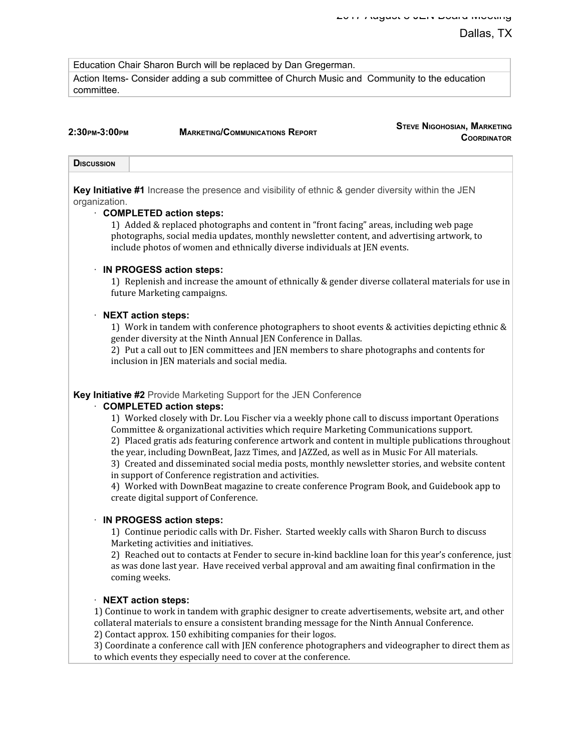**STEVE NIGOHOSIAN, MARKETING**

Education Chair Sharon Burch will be replaced by Dan Gregerman.

Action Items- Consider adding a sub committee of Church Music and Community to the education committee.

| 2:30 рм-3:00 рм   | <b>MARKETING/COMMUNICATIONS REPORT</b>                                                                    | <b>STEVE INIGOHOSIAN, IVIARKETING</b><br><b>COORDINATOR</b> |
|-------------------|-----------------------------------------------------------------------------------------------------------|-------------------------------------------------------------|
| <b>DISCUSSION</b> |                                                                                                           |                                                             |
| organization.     | <b>Key Initiative #1</b> Increase the presence and visibility of ethnic & gender diversity within the JEN |                                                             |

#### · **COMPLETED action steps:**

1) Added & replaced photographs and content in "front facing" areas, including web page photographs, social media updates, monthly newsletter content, and advertising artwork, to include photos of women and ethnically diverse individuals at JEN events.

#### · **IN PROGESS action steps:**

1) Replenish and increase the amount of ethnically & gender diverse collateral materials for use in future Marketing campaigns.

#### · **NEXT action steps:**

1) Work in tandem with conference photographers to shoot events & activities depicting ethnic & gender diversity at the Ninth Annual JEN Conference in Dallas.

2) Put a call out to JEN committees and JEN members to share photographs and contents for inclusion in JEN materials and social media.

#### **Key Initiative #2** Provide Marketing Support for the JEN Conference

#### · **COMPLETED action steps:**

1) Worked closely with Dr. Lou Fischer via a weekly phone call to discuss important Operations Committee & organizational activities which require Marketing Communications support. 2) Placed gratis ads featuring conference artwork and content in multiple publications throughout

the year, including DownBeat, Jazz Times, and JAZZed, as well as in Music For All materials.

3) Created and disseminated social media posts, monthly newsletter stories, and website content in support of Conference registration and activities.

4) Worked with DownBeat magazine to create conference Program Book, and Guidebook app to create digital support of Conference.

#### · **IN PROGESS action steps:**

1) Continue periodic calls with Dr. Fisher. Started weekly calls with Sharon Burch to discuss Marketing activities and initiatives.

2) Reached out to contacts at Fender to secure in-kind backline loan for this year's conference, just as was done last year. Have received verbal approval and am awaiting final confirmation in the coming weeks.

### · **NEXT action steps:**

1) Continue to work in tandem with graphic designer to create advertisements, website art, and other collateral materials to ensure a consistent branding message for the Ninth Annual Conference.

2) Contact approx. 150 exhibiting companies for their logos.

3) Coordinate a conference call with JEN conference photographers and videographer to direct them as to which events they especially need to cover at the conference.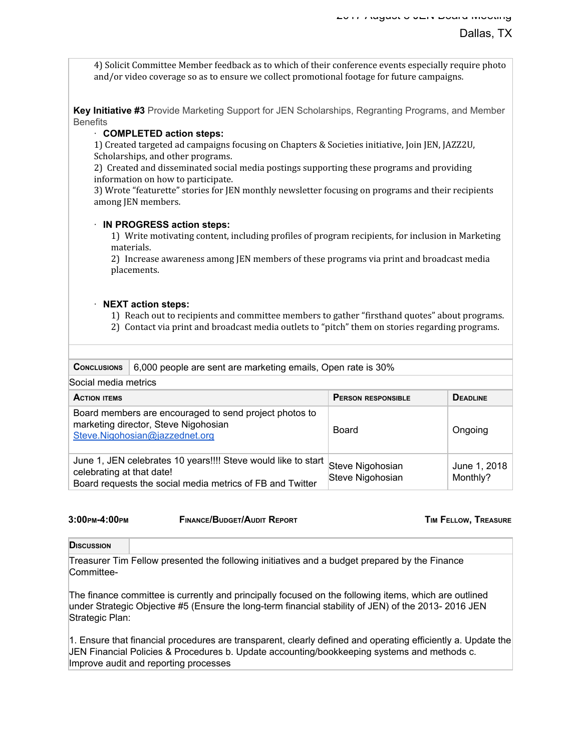4) Solicit Committee Member feedback as to which of their conference events especially require photo and/or video coverage so as to ensure we collect promotional footage for future campaigns.

**Key Initiative #3** Provide Marketing Support for JEN Scholarships, Regranting Programs, and Member **Benefits** 

#### · **COMPLETED action steps:**

1) Created targeted ad campaigns focusing on Chapters & Societies initiative, Join JEN, JAZZ2U, Scholarships, and other programs.

2) Created and disseminated social media postings supporting these programs and providing information on how to participate.

3) Wrote "featurette" stories for JEN monthly newsletter focusing on programs and their recipients among JEN members.

#### · **IN PROGRESS action steps:**

1) Write motivating content, including profiles of program recipients, for inclusion in Marketing materials.

2) Increase awareness among JEN members of these programs via print and broadcast media placements.

#### · **NEXT action steps:**

- 1) Reach out to recipients and committee members to gather "firsthand quotes" about programs.
- 2) Contact via print and broadcast media outlets to "pitch" them on stories regarding programs.

| <b>CONCLUSIONS</b>                                                                                                               | 6,000 people are sent are marketing emails, Open rate is 30%                                                               |                                      |                          |  |  |
|----------------------------------------------------------------------------------------------------------------------------------|----------------------------------------------------------------------------------------------------------------------------|--------------------------------------|--------------------------|--|--|
| Social media metrics                                                                                                             |                                                                                                                            |                                      |                          |  |  |
| <b>ACTION ITEMS</b>                                                                                                              |                                                                                                                            | <b>PERSON RESPONSIBLE</b>            | <b>DEADLINE</b>          |  |  |
| Board members are encouraged to send project photos to<br>marketing director, Steve Nigohosian<br>Steve.Nigohosian@jazzednet.org |                                                                                                                            | Board                                | Ongoing                  |  |  |
| celebrating at that date!                                                                                                        | June 1, JEN celebrates 10 years!!!! Steve would like to start<br>Board requests the social media metrics of FB and Twitter | Steve Nigohosian<br>Steve Nigohosian | June 1, 2018<br>Monthly? |  |  |

**3:00PM-4:00PM FINANCE/BUDGET/AUDIT REPORT TIM FELLOW, TREASURE**

**DISCUSSION**

Treasurer Tim Fellow presented the following initiatives and a budget prepared by the Finance Committee-

The finance committee is currently and principally focused on the following items, which are outlined under Strategic Objective #5 (Ensure the long-term financial stability of JEN) of the 2013- 2016 JEN Strategic Plan:

1. Ensure that financial procedures are transparent, clearly defined and operating efficiently a. Update the JEN Financial Policies & Procedures b. Update accounting/bookkeeping systems and methods c. Improve audit and reporting processes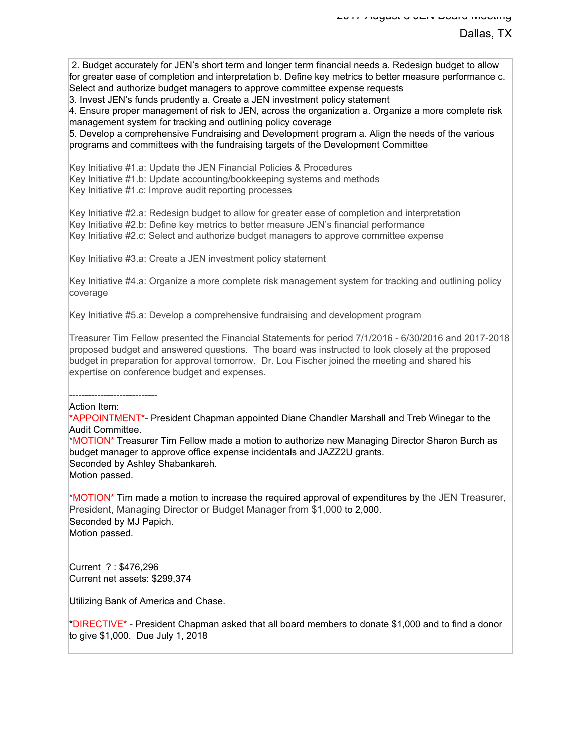2. Budget accurately for JEN's short term and longer term financial needs a. Redesign budget to allow for greater ease of completion and interpretation b. Define key metrics to better measure performance c. Select and authorize budget managers to approve committee expense requests

3. Invest JEN's funds prudently a. Create a JEN investment policy statement

4. Ensure proper management of risk to JEN, across the organization a. Organize a more complete risk management system for tracking and outlining policy coverage

5. Develop a comprehensive Fundraising and Development program a. Align the needs of the various programs and committees with the fundraising targets of the Development Committee

Key Initiative #1.a: Update the JEN Financial Policies & Procedures

Key Initiative #1.b: Update accounting/bookkeeping systems and methods

Key Initiative #1.c: Improve audit reporting processes

Key Initiative #2.a: Redesign budget to allow for greater ease of completion and interpretation Key Initiative #2.b: Define key metrics to better measure JEN's financial performance Key Initiative #2.c: Select and authorize budget managers to approve committee expense

Key Initiative #3.a: Create a JEN investment policy statement

Key Initiative #4.a: Organize a more complete risk management system for tracking and outlining policy coverage

Key Initiative #5.a: Develop a comprehensive fundraising and development program

Treasurer Tim Fellow presented the Financial Statements for period 7/1/2016 - 6/30/2016 and 2017-2018 proposed budget and answered questions. The board was instructed to look closely at the proposed budget in preparation for approval tomorrow. Dr. Lou Fischer joined the meeting and shared his expertise on conference budget and expenses.

---------------------------- Action Item:

\*APPOINTMENT\*- President Chapman appointed Diane Chandler Marshall and Treb Winegar to the Audit Committee.

\*MOTION\* Treasurer Tim Fellow made a motion to authorize new Managing Director Sharon Burch as budget manager to approve office expense incidentals and JAZZ2U grants. Seconded by Ashley Shabankareh. Motion passed.

\*MOTION\* Tim made a motion to increase the required approval of expenditures by the JEN Treasurer, President, Managing Director or Budget Manager from \$1,000 to 2,000. Seconded by MJ Papich. Motion passed.

Current ? : \$476,296 Current net assets: \$299,374

Utilizing Bank of America and Chase.

\*DIRECTIVE\* - President Chapman asked that all board members to donate \$1,000 and to find a donor to give \$1,000. Due July 1, 2018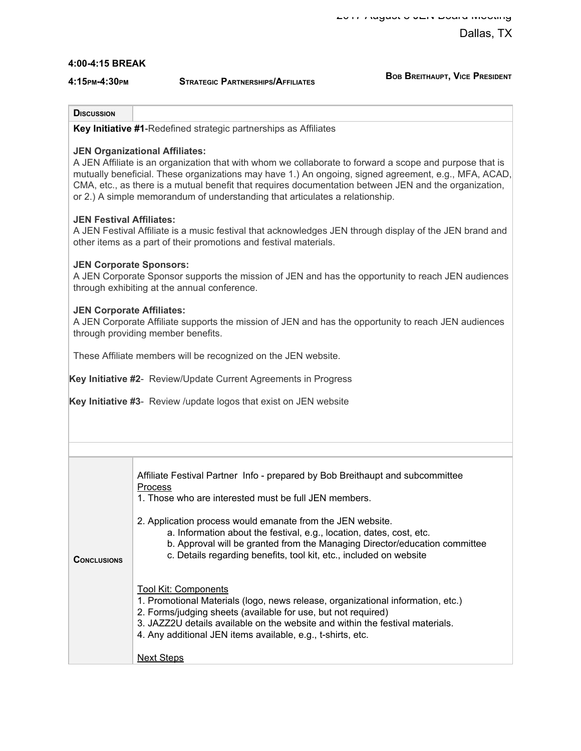#### **4:00-4:15 BREAK**

**4:15PM-4:30PM STRATEGIC PARTNERSHIPS/AFFILIATES**

**BOB BREITHAUPT, VICE PRESIDENT**

#### **DISCUSSION**

**Key Initiative #1**-Redefined strategic partnerships as Affiliates

#### **JEN Organizational Affiliates:**

A JEN Affiliate is an organization that with whom we collaborate to forward a scope and purpose that is mutually beneficial. These organizations may have 1.) An ongoing, signed agreement, e.g., MFA, ACAD, CMA, etc., as there is a mutual benefit that requires documentation between JEN and the organization, or 2.) A simple memorandum of understanding that articulates a relationship.

#### **JEN Festival Affiliates:**

A JEN Festival Affiliate is a music festival that acknowledges JEN through display of the JEN brand and other items as a part of their promotions and festival materials.

#### **JEN Corporate Sponsors:**

A JEN Corporate Sponsor supports the mission of JEN and has the opportunity to reach JEN audiences through exhibiting at the annual conference.

#### **JEN Corporate Affiliates:**

A JEN Corporate Affiliate supports the mission of JEN and has the opportunity to reach JEN audiences through providing member benefits.

These Affiliate members will be recognized on the JEN website.

**Key Initiative #2**- Review/Update Current Agreements in Progress

**Key Initiative #3**- Review /update logos that exist on JEN website

|                    | Affiliate Festival Partner Info - prepared by Bob Breithaupt and subcommittee<br><b>Process</b><br>1. Those who are interested must be full JEN members.                                                                                                                                                                        |
|--------------------|---------------------------------------------------------------------------------------------------------------------------------------------------------------------------------------------------------------------------------------------------------------------------------------------------------------------------------|
| <b>CONCLUSIONS</b> | 2. Application process would emanate from the JEN website.<br>a. Information about the festival, e.g., location, dates, cost, etc.<br>b. Approval will be granted from the Managing Director/education committee<br>c. Details regarding benefits, tool kit, etc., included on website                                          |
|                    | <b>Tool Kit: Components</b><br>1. Promotional Materials (logo, news release, organizational information, etc.)<br>2. Forms/judging sheets (available for use, but not required)<br>3. JAZZ2U details available on the website and within the festival materials.<br>4. Any additional JEN items available, e.g., t-shirts, etc. |
|                    | <b>Next Steps</b>                                                                                                                                                                                                                                                                                                               |